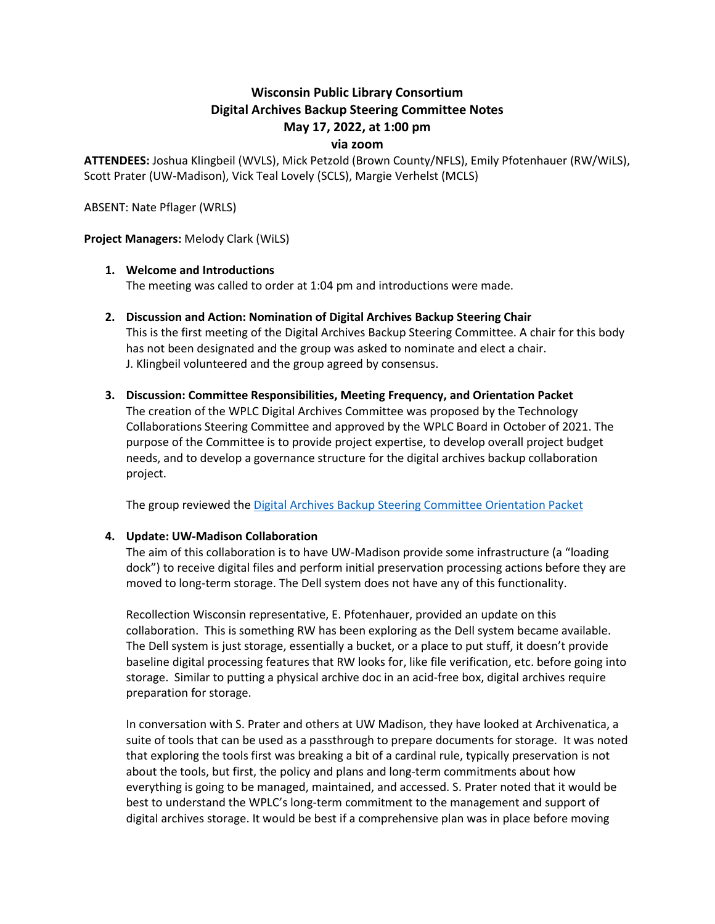# **Wisconsin Public Library Consortium Digital Archives Backup Steering Committee Notes May 17, 2022, at 1:00 pm**

## **via zoom**

**ATTENDEES:** Joshua Klingbeil (WVLS), Mick Petzold (Brown County/NFLS), Emily Pfotenhauer (RW/WiLS), Scott Prater (UW-Madison), Vick Teal Lovely (SCLS), Margie Verhelst (MCLS)

ABSENT: Nate Pflager (WRLS)

## **Project Managers:** Melody Clark (WiLS)

## **1. Welcome and Introductions**

The meeting was called to order at 1:04 pm and introductions were made.

**2. Discussion and Action: Nomination of Digital Archives Backup Steering Chair** This is the first meeting of the Digital Archives Backup Steering Committee. A chair for this body has not been designated and the group was asked to nominate and elect a chair.

J. Klingbeil volunteered and the group agreed by consensus.

**3. Discussion: Committee Responsibilities, Meeting Frequency, and Orientation Packet** The creation of the WPLC Digital Archives Committee was proposed by the Technology Collaborations Steering Committee and approved by the WPLC Board in October of 2021. The purpose of the Committee is to provide project expertise, to develop overall project budget needs, and to develop a governance structure for the digital archives backup collaboration project.

The group reviewed the [Digital Archives Backup Steering Committee Orientation Packet](https://wplc.info/sites/wplc.info/files/WPLC%20Digital%20Archives%20Backup%20Steering%20Orientation%20Packet%202022.pdf)

# **4. Update: UW-Madison Collaboration**

The aim of this collaboration is to have UW-Madison provide some infrastructure (a "loading dock") to receive digital files and perform initial preservation processing actions before they are moved to long-term storage. The Dell system does not have any of this functionality.

Recollection Wisconsin representative, E. Pfotenhauer, provided an update on this collaboration. This is something RW has been exploring as the Dell system became available. The Dell system is just storage, essentially a bucket, or a place to put stuff, it doesn't provide baseline digital processing features that RW looks for, like file verification, etc. before going into storage. Similar to putting a physical archive doc in an acid-free box, digital archives require preparation for storage.

In conversation with S. Prater and others at UW Madison, they have looked at Archivenatica, a suite of tools that can be used as a passthrough to prepare documents for storage. It was noted that exploring the tools first was breaking a bit of a cardinal rule, typically preservation is not about the tools, but first, the policy and plans and long-term commitments about how everything is going to be managed, maintained, and accessed. S. Prater noted that it would be best to understand the WPLC's long-term commitment to the management and support of digital archives storage. It would be best if a comprehensive plan was in place before moving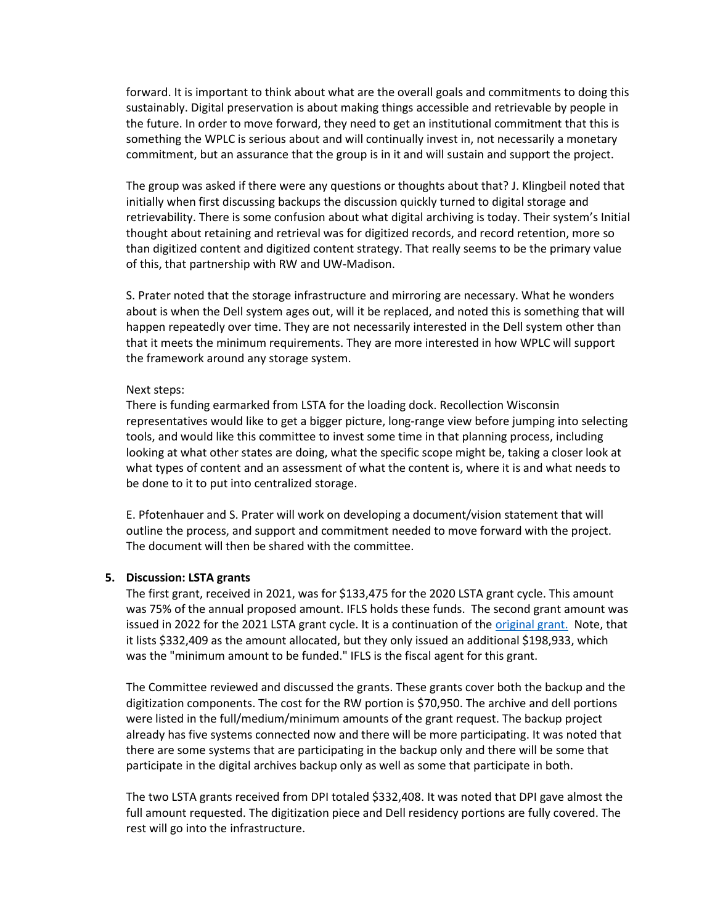forward. It is important to think about what are the overall goals and commitments to doing this sustainably. Digital preservation is about making things accessible and retrievable by people in the future. In order to move forward, they need to get an institutional commitment that this is something the WPLC is serious about and will continually invest in, not necessarily a monetary commitment, but an assurance that the group is in it and will sustain and support the project.

The group was asked if there were any questions or thoughts about that? J. Klingbeil noted that initially when first discussing backups the discussion quickly turned to digital storage and retrievability. There is some confusion about what digital archiving is today. Their system's Initial thought about retaining and retrieval was for digitized records, and record retention, more so than digitized content and digitized content strategy. That really seems to be the primary value of this, that partnership with RW and UW-Madison.

S. Prater noted that the storage infrastructure and mirroring are necessary. What he wonders about is when the Dell system ages out, will it be replaced, and noted this is something that will happen repeatedly over time. They are not necessarily interested in the Dell system other than that it meets the minimum requirements. They are more interested in how WPLC will support the framework around any storage system.

#### Next steps:

There is funding earmarked from LSTA for the loading dock. Recollection Wisconsin representatives would like to get a bigger picture, long-range view before jumping into selecting tools, and would like this committee to invest some time in that planning process, including looking at what other states are doing, what the specific scope might be, taking a closer look at what types of content and an assessment of what the content is, where it is and what needs to be done to it to put into centralized storage.

E. Pfotenhauer and S. Prater will work on developing a document/vision statement that will outline the process, and support and commitment needed to move forward with the project. The document will then be shared with the committee.

# **5. Discussion: LSTA grants**

The first grant, received in 2021, was for \$133,475 for the 2020 LSTA grant cycle. This amount was 75% of the annual proposed amount. IFLS holds these funds. The second grant amount was issued in 2022 for the 2021 LSTA grant cycle. It is a continuation of the [original grant.](https://dpi.wi.gov/sites/default/files/imce/pld/doc/LSTA_2021_Grant_Information_and_Guidelines.pdf) Note, that it lists \$332,409 as the amount allocated, but they only issued an additional \$198,933, which was the "minimum amount to be funded." IFLS is the fiscal agent for this grant.

The Committee reviewed and discussed the grants. These grants cover both the backup and the digitization components. The cost for the RW portion is \$70,950. The archive and dell portions were listed in the full/medium/minimum amounts of the grant request. The backup project already has five systems connected now and there will be more participating. It was noted that there are some systems that are participating in the backup only and there will be some that participate in the digital archives backup only as well as some that participate in both.

The two LSTA grants received from DPI totaled \$332,408. It was noted that DPI gave almost the full amount requested. The digitization piece and Dell residency portions are fully covered. The rest will go into the infrastructure.